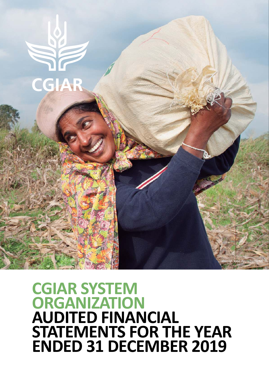

# **CGIAR SYSTEM ORGANIZATION AUDITED FINANCIAL STATEMENTS FOR THE YEAR ENDED 31 DECEMBER 2019**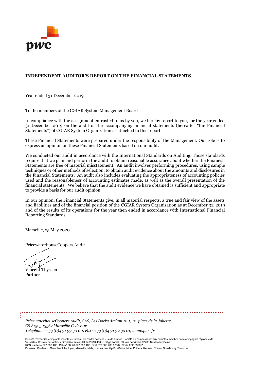

#### **INDEPENDENT AUDITOR'S REPORT ON THE FINANCIAL STATEMENTS**

Year ended 31 December 2019

To the members of the CGIAR System Management Board

In compliance with the assignment entrusted to us by you, we hereby report to you, for the year ended 31 December 2019 on the audit of the accompanying financial statements (hereafter "the Financial Statements") of CGIAR System Organization as attached to this report.

These Financial Statements were prepared under the responsibility of the Management. Our role is to express an opinion on these Financial Statements based on our audit.

We conducted our audit in accordance with the International Standards on Auditing. Those standards require that we plan and perform the audit to obtain reasonable assurance about whether the Financial Statements are free of material misstatement. An audit involves performing procedures, using sample techniques or other methods of selection, to obtain audit evidence about the amounts and disclosures in the Financial Statements. An audit also includes evaluating the appropriateness of accounting policies used and the reasonableness of accounting estimates made, as well as the overall presentation of the financial statements. We believe that the audit evidence we have obtained is sufficient and appropriate to provide a basis for our audit opinion.

In our opinion, the Financial Statements give, in all material respects, a true and fair view of the assets and liabilities and of the financial position of the CGIAR System Organization as at December 31, 2019 and of the results of its operations for the year then ended in accordance with International Financial Reporting Standards.

Marseille, 25 May 2020

PricewaterhouseCoopers Audit

Vincent Thyssen Partner

*PricewaterhouseCoopers Audit, SAS, Les Docks Atrium 10.1, 10 place de la Joliette, CS 81525 13567 Marseille Cedex 02*

*Téléphone: +33 (0)4 91 99 30 00, Fax: +33 (0)4 91 99 30 01, www.pwc.fr*

Société d'expertise comptable inscrite au tableau de l'ordre de Paris - lle de France. Société de commissariat aux comptes membre de la compagnie régionale de Versailles. Société par Actions Simplifiée au capital de 2 510 460 €. Siège social : 63, rue de Villiers 92200 Neuilly-sur-Seine.<br>RCS Nanterre 672 006 483. TVA n° FR 76 672 006 483. Siret 672 006 483 00362. Code APE 6920 Bureaux : Bordeaux, Grenoble, Lille, Lyon, Marseille, Metz, Nantes, Neuilly-Sur-Seine, Nice, Poitiers, Rennes, Rouen, Strasbourg, Toulouse.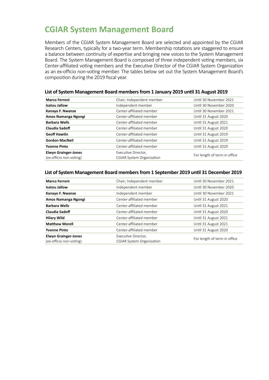# **CGIAR System Management Board**

Members of the CGIAR System Management Board are selected and appointed by the CGIAR Research Centers, typically for a two-year term. Membership rotations are staggered to ensure a balance between continuity of expertise and bringing new voices to the System Management Board. The System Management Board is composed of three independent voting members, six Center-affiliated voting members and the Executive Director of the CGIAR System Organization as an ex-officio non-voting member. The tables below set out the System Management Board's composition during the 2019 fiscal year.

| <b>Marco Ferroni</b>                                   | Chair; Independent member                               | Until 30 November 2021       |
|--------------------------------------------------------|---------------------------------------------------------|------------------------------|
| <b>Isatou Jallow</b>                                   | Independent member                                      | Until 30 November 2020       |
| Kanayo F. Nwanze                                       | Center-affiliated member                                | Until 30 November 2021       |
| Amos Namanga Ngongi                                    | Center-affiliated member                                | Until 31 August 2020         |
| <b>Barbara Wells</b>                                   | Center-affiliated member                                | Until 31 August 2021         |
| Claudia Sadoff                                         | Center-affiliated member                                | Until 31 August 2020         |
| <b>Geoff Hawtin</b>                                    | Center-affiliated member                                | Until 31 August 2019         |
| <b>Gordon MacNeil</b>                                  | Center-affiliated member                                | Until 31 August 2019         |
| <b>Yvonne Pinto</b>                                    | Center-affiliated member                                | Until 31 August 2020         |
| <b>Elwyn Grainger-Jones</b><br>(ex-officio non-voting) | Executive Director,<br><b>CGIAR System Organization</b> | For length of term in office |
|                                                        |                                                         |                              |

#### **List of System Management Board members from 1 January 2019 until 31 August 2019**

#### **List of System Management Board members from 1 September 2019 until 31 December 2019**

| <b>Marco Ferroni</b>                                   | Chair; Independent member                               | Until 30 November 2021       |
|--------------------------------------------------------|---------------------------------------------------------|------------------------------|
| <b>Isatou Jallow</b>                                   | Independent member                                      | Until 30 November 2020       |
| Kanayo F. Nwanze                                       | Independent member                                      | Until 30 November 2021       |
| Amos Namanga Ngongi                                    | Center-affiliated member                                | Until 31 August 2020         |
| <b>Barbara Wells</b>                                   | Center-affiliated member                                | Until 31 August 2021         |
| Claudia Sadoff                                         | Center-affiliated member                                | Until 31 August 2020         |
| <b>Hilary Wild</b>                                     | Center-affiliated member                                | Until 31 August 2021         |
| <b>Matthew Morell</b>                                  | Center-affiliated member                                | Until 31 August 2021         |
| <b>Yvonne Pinto</b>                                    | Center-affiliated member                                | Until 31 August 2020         |
| <b>Elwyn Grainger-Jones</b><br>(ex-officio non-voting) | Executive Director,<br><b>CGIAR System Organization</b> | For length of term in office |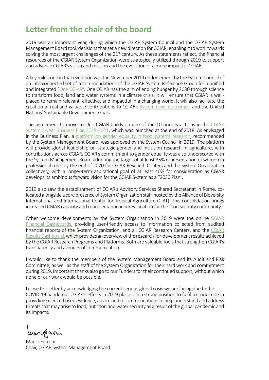# **Letter from the chair of the board**

2019 was an important year, during which the CGIAR System Council and the CGIAR System Management Board took decisions that set a new direction for CGIAR, enabling it to work towards solving the most urgent challenges of the  $21<sup>st</sup>$  century. As these statements reflect, the financial resources of the CGIAR System Organization were strategically utilized through 2019 to support and advance CGIAR's vision and mission and the evolution of a more impactful CGIAR.

A key milestone in that evolution was the November 2019 endorsement by the System Council of an interconnected set of recommendations of the CGIAR System Reference Group for a unified and integrated "One CGIAR". One CGIAR has the aim of ending hunger by 2030 through science to transform food, land and water systems in a climate crisis. It will ensure that CGIAR is wellplaced to remain relevant, effective, and impactful in a changing world. It will also facilitate the creation of real and valuable contributions to CGIAR's System Level Outcomes, and the United Nations' Sustainable Development Goals.

The agreement to move to One CGIAR builds on one of the 10 priority actions in the CGIAR System 3-year Business Plan 2019-2021, which was launched at the end of 2018. As envisaged in the Business Plan, a platform on gender equality in food systems research, recommended by the System Management Board, was approved by the System Council in 2019. The platform will provide global leadership on strategic gender and inclusion research in agriculture, with contributions across CGIAR. CGIAR's commitment to gender equality was also underscored with the System Management Board adopting the target of at least 35% representation of women in professional roles by the end of 2020 for CGIAR Research Centers and the System Organization collectively, with a longer-term aspirational goal of at least 40% for consideration as CGIAR develops its ambitious forward vision for the CGIAR System as a "2030 Plan".

2019 also saw the establishment of CGIAR's Advisory Services Shared Secretariat in Rome, colocated alongside a core presence of System Organization staff, hosted by the Alliance of Bioversity International and International Center for Tropical Agriculture (CIAT). This consolidation brings increased CGIAR capacity and representation in a key location for the food security community.

Other welcome developments by the System Organization in 2019 were the online CGIAR Financial Dashboards, providing user-friendly access to information collected from audited financial reports of the System Organization, and all CGIAR Research Centers, and the CGIAR Results Dashboard, which provides an overview of the research-for-development results achieved by the CGIAR Research Programs and Platforms. Both are valuable tools that strengthen CGIAR's transparency and avenues of communication.

I would like to thank the members of the System Management Board and its Audit and Risk Committee, as well as the staff of the System Organization for their hard work and commitment during 2019. Important thanks also go to our Funders for their continued support, without which none of our work would be possible.

I close this letter by acknowledging the current serious global crisis we are facing due to the COVID-19 pandemic. CGIAR's efforts in 2019 place it in a strong position to fulfil a crucial role in providing science-based evidence, advice and recommendations to help understand and address threats that may arise to food, nutrition and water security as a result of the global pandemic and its impacts.

huar of evoir

Marco Ferroni Chair, CGIAR System Management Board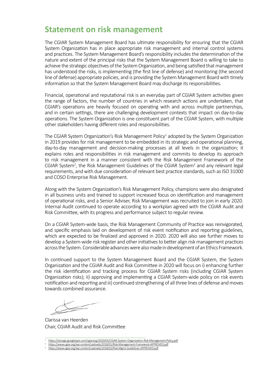### **Statement on risk management**

The CGIAR System Management Board has ultimate responsibility for ensuring that the CGIAR System Organization has in place appropriate risk management and internal control systems and practices. The System Management Board's responsibility includes the determination of the nature and extent of the principal risks that the System Management Board is willing to take to achieve the strategic objectives of the System Organization, and being satisfied that management has understood the risks, is implementing (the first line of defense) and monitoring (the second line of defense) appropriate policies, and is providing the System Management Board with timely information so that the System Management Board may discharge its responsibilities.

Financial, operational and reputational risk is an everyday part of CGIAR System activities given the range of factors, the number of countries in which research actions are undertaken, that CGIAR's operations are heavily focused on operating with and across multiple partnerships, and in certain settings, there are challenging development contexts that impact on day-to-day operations. The System Organization is one constituent part of the CGIAR System, with multiple other stakeholders having different roles and responsibilities.

The CGIAR System Organization's Risk Management Policy<sup>1</sup> adopted by the System Organization in 2019 provides for risk management to be embedded in its strategic and operational planning, day-to-day management and decision-making processes at all levels in the organization; it explains roles and responsibilities in risk management and commits to develop its approach to risk management in a manner consistent with the Risk Management Framework of the CGIAR System<sup>2</sup>, the Risk Management Guidelines of the CGIAR System<sup>3</sup> and any relevant legal requirements, and with due consideration of relevant best practice standards, such as ISO 31000 and COSO Enterprise Risk Management.

Along with the System Organization's Risk Management Policy, champions were also designated in all business units and trained to support increased focus on identification and management of operational risks, and a Senior Adviser, Risk Management was recruited to join in early 2020. Internal Audit continued to operate according to a workplan agreed with the CGIAR Audit and Risk Committee, with its progress and performance subject to regular review.

On a CGIAR System-wide basis, the Risk Management Community of Practice was reinvigorated, and specific emphasis laid on development of risk event notification and reporting guidelines, which are expected to be finalized and approved in 2020. 2020 will also see further moves to develop a System-wide risk register and other initiatives to better align risk management practices across the System. Considerable advances were also made in development of an Ethics Framework.

In continued support to the System Management Board and the CGIAR System, the System Organization and the CGIAR Audit and Risk Committee in 2020 will focus on i) enhancing further the risk identification and tracking process for CGIAR System risks (including CGIAR System Organization risks); ii) approving and implementing a CGIAR System-wide policy on risk events notification and reporting and iii) continued strengthening of all three lines of defense and moves towards combined assurance.

Clarissa van Heerden Chair, CGIAR Audit and Risk Committee

- <sup>1</sup>https://storage.googleapis.com/cgiarorg/2020/03/CGIAR-System-Organization-Risk-Management-Policy.pdf
- <sup>2</sup>https://www.cgiar.org/wp-content/uploads/2018/01/Risk-Management-Framework-APPROVED.pdf

<sup>3</sup>https://www.cgiar.org/wp-content/uploads/2018/02/Risk-Mgmt-Guidelines-APPROVED.pdf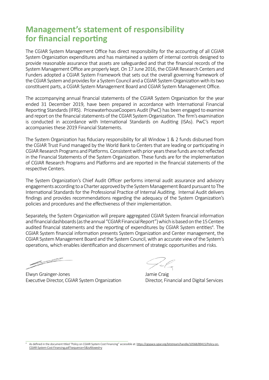# **Management's statement of responsibility for financial reporting**

The CGIAR System Management Office has direct responsibility for the accounting of all CGIAR System Organization expenditures and has maintained a system of internal controls designed to provide reasonable assurance that assets are safeguarded and that the financial records of the System Management Office are properly kept. On 17 June 2016, the CGIAR Research Centers and Funders adopted a CGIAR System Framework that sets out the overall governing framework of the CGIAR System and provides for a System Council and a CGIAR System Organization with its two constituent parts, a CGIAR System Management Board and CGIAR System Management Office.

The accompanying annual financial statements of the CGIAR System Organization for the year ended 31 December 2019, have been prepared in accordance with International Financial Reporting Standards (IFRS). PricewaterhouseCoopers Audit (PwC) has been engaged to examine and report on the financial statements of the CGIAR System Organization. The firm's examination is conducted in accordance with International Standards on Auditing (ISAs). PwC's report accompanies these 2019 Financial Statements.

The System Organization has fiduciary responsibility for all Window 1 & 2 funds disbursed from the CGIAR Trust Fund managed by the World Bank to Centers that are leading or participating in CGIAR Research Programs and Platforms. Consistent with prior years these funds are not reflected in the Financial Statements of the System Organization. These funds are for the implementation of CGIAR Research Programs and Platforms and are reported in the financial statements of the respective Centers.

The System Organization's Chief Audit Officer performs internal audit assurance and advisory engagements according to a Charter approved by the System Management Board pursuant to The International Standards for the Professional Practice of Internal Auditing. Internal Audit delivers findings and provides recommendations regarding the adequacy of the System Organization's policies and procedures and the effectiveness of their implementation.

Separately, the System Organization will prepare aggregated CGIAR System financial information and financial dashboards (as the annual "CGIAR Financial Report") which is based on the 15 Centers audited financial statements and the reporting of expenditures by CGIAR System entities<sup>4</sup>. The CGIAR System financial information presents System Organization and Center management, the CGIAR System Management Board and the System Council, with an accurate view of the System's operations, which enables identification and discernment of strategic opportunities and risks.

19 pm

Elwyn Grainger-Jones Jamie Craig Executive Director, CGIAR System Organization Director, Financial and Digital Services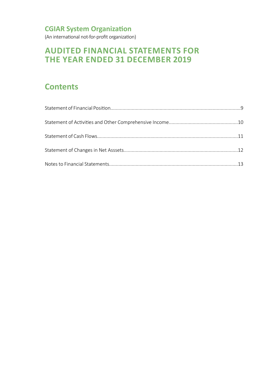(An international not-for-profit organization)

# **AUDITED FINANCIAL STATEMENTS FOR THE YEAR ENDED 31 DECEMBER 2019**

# **Contents**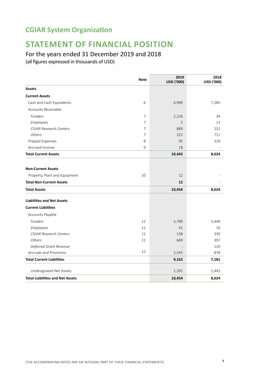# **STATEMENT OF FINANCIAL POSITION**

### For the years ended 31 December 2019 and 2018

|                                         | <b>Note</b>    | 2019<br>USD ('000) | 2018<br>USD ('000) |
|-----------------------------------------|----------------|--------------------|--------------------|
| <b>Assets</b>                           |                |                    |                    |
| <b>Current Assets</b>                   |                |                    |                    |
| Cash and Cash Equivalents               | 6              | 6,990              | 7,285              |
| Accounts Receivable                     |                |                    |                    |
| <b>Funders</b>                          | 7              | 2,226              | 34                 |
| Employees                               | $\overline{7}$ | 2                  | 13                 |
| <b>CGIAR Research Centers</b>           | 7              | 889                | 252                |
| Others                                  | 7              | 222                | 711                |
| Prepaid Expenses                        | 8              | 95                 | 329                |
| Accrued Income                          | 9              | 18                 |                    |
| <b>Total Current Assets</b>             |                | 10,442             | 8,624              |
| <b>Non-Current Assets</b>               |                |                    |                    |
| Property, Plant and Equipment           | 10             | 12                 |                    |
| <b>Total Non-Current Assets</b>         |                | 12                 |                    |
| <b>Total Assets</b>                     |                | 10,454             | 8,624              |
|                                         |                |                    |                    |
| <b>Liabilities and Net Assets</b>       |                |                    |                    |
| <b>Current Liabilities</b>              |                |                    |                    |
| Accounts Payable                        |                |                    |                    |
| Funders                                 | 11             | 5,789              | 5,440              |
| Employees                               | 11             | 41                 | 16                 |
| <b>CGIAR Research Centers</b>           | 11             | 138                | 330                |
| Others                                  | 11             | 649                | 397                |
| Deferred Grant Revenue                  |                |                    | 120                |
| Accruals and Provisions                 | 12             | 2,545              | 878                |
| <b>Total Current Liabilities</b>        |                | 9,162              | 7,181              |
| Undesignated Net Assets                 |                | 1,292              | 1,443              |
| <b>Total Liabilities and Net Assets</b> |                | 10,454             | 8,624              |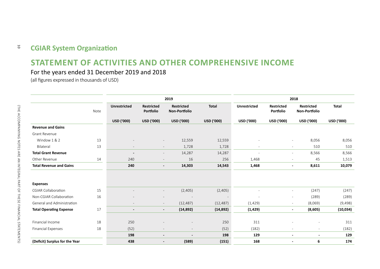#### **CGIAR System Organization**  $\overline{5}$

### **STATEMENT OF ACTIVITIES AND OTHER COMPREHENSIVE INCOME**

### For the years ended 31 December 2019 and 2018

|                                |      | 2019                     |                                       |                                       |              |                          | 2018                           |                                            |              |
|--------------------------------|------|--------------------------|---------------------------------------|---------------------------------------|--------------|--------------------------|--------------------------------|--------------------------------------------|--------------|
|                                | Note | <b>Unrestricted</b>      | <b>Restricted</b><br><b>Portfolio</b> | <b>Restricted</b><br>Non-Portfolio    | <b>Total</b> | <b>Unrestricted</b>      | <b>Restricted</b><br>Portfolio | <b>Restricted</b><br>Non-Portfolio         | <b>Total</b> |
|                                |      | USD ('000)               | <b>USD ('000)</b>                     | USD ('000)                            | USD ('000)   | USD ('000)               | USD ('000)                     | USD ('000)                                 | USD ('000)   |
| <b>Revenue and Gains</b>       |      |                          |                                       |                                       |              |                          |                                |                                            |              |
| Grant Revenue                  |      |                          |                                       |                                       |              |                          |                                |                                            |              |
| Window 1 & 2                   | 13   |                          |                                       | 12,559<br>$\overline{\phantom{a}}$    | 12,559       |                          |                                | 8,056<br>$\overline{\phantom{a}}$          | 8,056        |
| Bilateral                      | 13   |                          |                                       | 1,728<br>$\overline{\phantom{a}}$     | 1,728        | $\overline{\phantom{0}}$ |                                | 510<br>$\overline{\phantom{a}}$            | 510          |
| <b>Total Grant Revenue</b>     |      | $\overline{\phantom{a}}$ |                                       | 14,287<br>$\overline{\phantom{a}}$    | 14,287       | $\overline{\phantom{a}}$ |                                | 8,566<br>$\overline{\phantom{a}}$          | 8,566        |
| Other Revenue                  | 14   | 240                      |                                       | 16<br>$\overline{\phantom{a}}$        | 256          | 1,468                    |                                | 45<br>$\overline{\phantom{a}}$             | 1,513        |
| <b>Total Revenue and Gains</b> |      | 240                      |                                       | 14,303<br>$\overline{\phantom{a}}$    | 14,543       | 1,468                    |                                | 8,611<br>$\blacksquare$                    | 10,079       |
|                                |      |                          |                                       |                                       |              |                          |                                |                                            |              |
| <b>Expenses</b>                |      |                          |                                       |                                       |              |                          |                                |                                            |              |
| <b>CGIAR Collaboration</b>     | 15   |                          |                                       | (2,405)<br>$\overline{\phantom{a}}$   | (2,405)      | ÷                        |                                | (247)<br>$\overline{\phantom{m}}$          | (247)        |
| Non-CGIAR Collaboration        | 16   |                          |                                       |                                       |              |                          |                                | (289)<br>$\overline{\phantom{a}}$          | (289)        |
| General and Administration     |      | $\overline{\phantom{a}}$ |                                       | (12, 487)<br>$\overline{\phantom{a}}$ | (12, 487)    | (1, 429)                 |                                | (8,069)<br>$\overline{\phantom{a}}$        | (9, 498)     |
| <b>Total Operating Expense</b> | 17   | $\overline{\phantom{a}}$ |                                       | (14, 892)<br>$\overline{\phantom{a}}$ | (14, 892)    | (1, 429)                 |                                | (8,605)<br>$\sim$                          | (10, 034)    |
|                                |      |                          |                                       |                                       |              |                          |                                |                                            |              |
| Financial Income               | 18   | 250                      |                                       |                                       | 250          | 311                      |                                |                                            | 311          |
| <b>Financial Expenses</b>      | 18   | (52)                     |                                       | $\overline{\phantom{0}}$<br>$\sim$    | (52)         | (182)                    |                                | $\overline{a}$<br>$\overline{\phantom{a}}$ | (182)        |
|                                |      | 198                      | $\overline{\phantom{a}}$              | $\overline{\phantom{a}}$              | 198          | 129                      |                                | $\blacksquare$<br>$\overline{\phantom{a}}$ | 129          |
| (Deficit) Surplus for the Year |      | 438                      | $\overline{\phantom{a}}$              | (589)                                 | (151)        | 168                      |                                | 6<br>$\overline{a}$                        | 174          |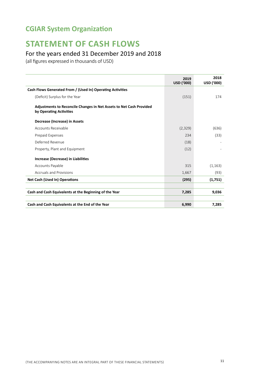# **STATEMENT OF CASH FLOWS**

### For the years ended 31 December 2019 and 2018

|                                                                                                       | 2019<br>USD ('000) | 2018<br>USD ('000) |
|-------------------------------------------------------------------------------------------------------|--------------------|--------------------|
| Cash Flows Generated From / (Used In) Operating Activities                                            |                    |                    |
| (Deficit) Surplus for the Year                                                                        | (151)              | 174                |
| <b>Adjustments to Reconcile Changes in Net Assets to Net Cash Provided</b><br>by Operating Activities |                    |                    |
| Decrease (Increase) in Assets                                                                         |                    |                    |
| Accounts Receivable                                                                                   | (2,329)            | (636)              |
| Prepaid Expenses                                                                                      | 234                | (33)               |
| Deferred Revenue                                                                                      | (18)               |                    |
| Property, Plant and Equipment                                                                         | (12)               |                    |
| Increase (Decrease) in Liabilities                                                                    |                    |                    |
| Accounts Payable                                                                                      | 315                | (1, 163)           |
| Accruals and Provisions                                                                               | 1,667              | (93)               |
| <b>Net Cash (Used In) Operations</b>                                                                  | (295)              | (1,751)            |
| Cash and Cash Equivalents at the Beginning of the Year                                                | 7,285              | 9,036              |
|                                                                                                       |                    |                    |
| Cash and Cash Equivalents at the End of the Year                                                      | 6,990              | 7,285              |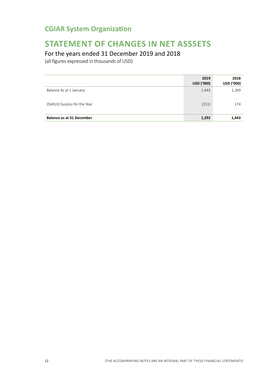# **STATEMENT OF CHANGES IN NET ASSSETS**

### For the years ended 31 December 2019 and 2018

|                                  | 2019<br>USD ('000) | 2018<br><b>USD ('000)</b> |
|----------------------------------|--------------------|---------------------------|
| Balance As at 1 January          | 1,443              | 1,269                     |
| (Deficit) Surplus for the Year   | (151)              | 174                       |
| <b>Balance as at 31 December</b> | 1,292              | 1,443                     |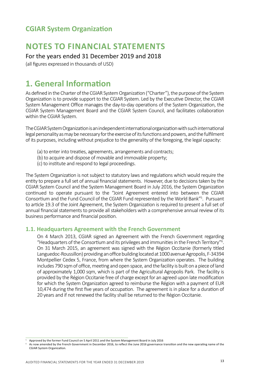### **NOTES TO FINANCIAL STATEMENTS**

For the years ended 31 December 2019 and 2018

(all figures expressed in thousands of USD)

### **1. General Information**

As defined in the Charter of the CGIAR System Organization ("Charter"), the purpose of the System Organization is to provide support to the CGIAR System. Led by the Executive Director, the CGIAR System Management Office manages the day-to-day operations of the System Organization, the CGIAR System Management Board and the CGIAR System Council, and facilitates collaboration within the CGIAR System.

The CGIAR System Organization is an independent international organization with such international legal personality as may be necessary for the exercise of its functions and powers, and the fulfilment of its purposes, including without prejudice to the generality of the foregoing, the legal capacity:

- (a) to enter into treaties, agreements, arrangements and contracts;
- (b) to acquire and dispose of movable and immovable property;
- (c) to institute and respond to legal proceedings.

The System Organization is not subject to statutory laws and regulations which would require the entity to prepare a full set of annual financial statements. However, due to decisions taken by the CGIAR System Council and the System Management Board in July 2016, the System Organization continued to operate pursuant to the "Joint Agreement entered into between the CGIAR Consortium and the Fund Council of the CGIAR Fund represented by the World Bank"<sup>5</sup>. Pursuant to article 19.3 of the Joint Agreement, the System Organization is required to present a full set of annual financial statements to provide all stakeholders with a comprehensive annual review of its business performance and financial position.

#### **1.1. Headquarters Agreement with the French Government**

On 4 March 2013, CGIAR signed an Agreement with the French Government regarding "Headquarters of the Consortium and its privileges and immunities in the French Territory"<sup>6</sup> . On 31 March 2015, an agreement was signed with the Région Occitanie (formerly titled Languedoc-Roussillon) providing an office building located at 1000 avenue Agropolis, F-34394 Montpellier Cedex 5, France, from where the System Organization operates. The building includes 790 sqm of office, meeting and open space, and the facility is built on a piece of land of approximately 1,000 sqm, which is part of the Agricultural Agropolis Park. The facility is provided by the Région Occitanie free of charge except for an agreed upon late modification for which the System Organization agreed to reimburse the Région with a payment of EUR 10,474 during the first five years of occupation. The agreement is in place for a duration of 20 years and if not renewed the facility shall be returned to the Région Occitanie.

<sup>5</sup> Approved by the former Fund Council on 5 April 2011 and the System Management Board in July 2016

As now amended by the French Government in December 2016, to reflect the June 2016 governance transition and the new operating name of the CGIAR System Organization.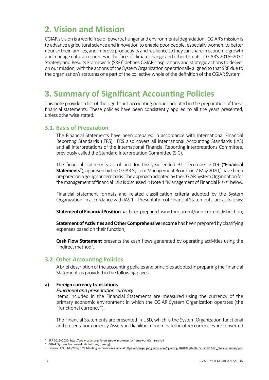# **2. Vision and Mission**

CGIAR's vision is a world free of poverty, hunger and environmental degradation. CGIAR's mission is to advance agricultural science and innovation to enable poor people, especially women, to better nourish their families, and improve productivity and resilience so they can share in economic growth and manage natural resources in the face of climate change and other threats. CGIAR's 2016–2030 Strategy and Results Framework (SRF)<sup>7</sup> defines CGIAR's aspirations and strategic actions to deliver on our mission, with the actions of the System Organization operationally aligned to that SRF due to the organization's status as one part of the collective whole of the definition of the CGIAR System.<sup>8</sup>

### **3. Summary of Significant Accounting Policies**

This note provides a list of the significant accounting policies adopted in the preparation of these financial statements. These policies have been consistently applied to all the years presented, unless otherwise stated.

#### **3.1. Basis of Preparation**

The Financial Statements have been prepared in accordance with International Financial Reporting Standards (IFRS). IFRS also covers all International Accounting Standards (IAS) and all interpretations of the International Financial Reporting Interpretations Committee, previously called the Standard Interpretation Committee (SIC).

The financial statements as of and for the year ended 31 December 2019 ("**Financial Statements**"), approved by the CGIAR System Management Board on 7 May 2020,<sup>\*</sup> have been prepared on a going concern basis. The approach adopted by the CGIAR System Organization for the management of financial risks is discussed in Note 4 "Management of Financial Risks" below.

Financial statement formats and related classification criteria adopted by the System Organization, in accordance with IAS 1 – Presentation of Financial Statements, are as follows:

**Statement of Financial Position** has been prepared using the current/non-current distinction;

**Statement of Activities and Other Comprehensive Income** has been prepared by classifying expenses based on their function;

**Cash Flow Statement** presents the cash flows generated by operating activities using the "indirect method".

#### **3.2. Other Accounting Policies**

A brief description of the accounting policies and principles adopted in preparing the Financial Statements is provided in the following pages.

#### **a) Foreign currency translations**

#### *Functional and presentation currency*

Items included in the Financial Statements are measured using the currency of the primary economic environment in which the CGIAR System Organization operates (the "functional currency").

The Financial Statements are presented in USD, which is the System Organization functional and presentation currency. Assets and liabilities denominated in other currencies are converted

<sup>7</sup> SRF 2016–2030: http://www.cgiar.org/?s=strategy+and+results+framework&s\_area=all

CGIAR System Framework, definitions, item (g).

<sup>\*</sup> Decision Ref: SMB/M17/DP9; Meeting Summary available at https://storage.googleapis.com/cgiarorg/2020/05/0a8fed53-smb17-06\_chairssummary.pdf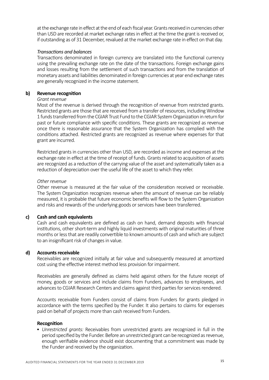at the exchange rate in effect at the end of each fiscal year. Grants received in currencies other than USD are recorded at market exchange rates in effect at the time the grant is received or, if outstanding as of 31 December, revalued at the market exchange rate in effect on that day.

#### *Transactions and balances*

Transactions denominated in foreign currency are translated into the functional currency using the prevailing exchange rate on the date of the transactions. Foreign exchange gains and losses resulting from the settlement of such transactions and from the translation of monetary assets and liabilities denominated in foreign currencies at year end exchange rates are generally recognized in the income statement.

#### **b) Revenue recognition**

#### *Grant revenue*

Most of the revenue is derived through the recognition of revenue from restricted grants. Restricted grants are those that are received from a transfer of resources, including Window 1 funds transferred from the CGIAR Trust Fund to the CGIAR System Organization in return for past or future compliance with specific conditions. These grants are recognized as revenue once there is reasonable assurance that the System Organization has complied with the conditions attached. Restricted grants are recognized as revenue where expenses for that grant are incurred.

Restricted grants in currencies other than USD, are recorded as income and expenses at the exchange rate in effect at the time of receipt of funds. Grants related to acquisition of assets are recognized as a reduction of the carrying value of the asset and systematically taken as a reduction of depreciation over the useful life of the asset to which they refer.

#### *Other revenue*

Other revenue is measured at the fair value of the consideration received or receivable. The System Organization recognizes revenue when the amount of revenue can be reliably measured, it is probable that future economic benefits will flow to the System Organization and risks and rewards of the underlying goods or services have been transferred.

#### **c) Cash and cash equivalents**

Cash and cash equivalents are defined as cash on hand, demand deposits with financial institutions, other short-term and highly liquid investments with original maturities of three months or less that are readily convertible to known amounts of cash and which are subject to an insignificant risk of changes in value.

#### **d) Accounts receivable**

Receivables are recognized initially at fair value and subsequently measured at amortized cost using the effective interest method less provision for impairment.

Receivables are generally defined as claims held against others for the future receipt of money, goods or services and include claims from Funders, advances to employees, and advances to CGIAR Research Centers and claims against third parties for services rendered.

Accounts receivable from Funders consist of claims from Funders for grants pledged in accordance with the terms specified by the Funder. It also pertains to claims for expenses paid on behalf of projects more than cash received from Funders.

#### **Recognition**

• *Unrestricted grants:* Receivables from unrestricted grants are recognized in full in the period specified by the Funder. Before an unrestricted grant can be recognized as revenue, enough verifiable evidence should exist documenting that a commitment was made by the Funder and received by the organization.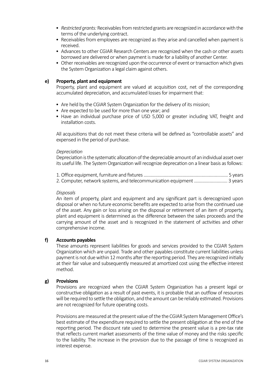- *Restricted grants:* Receivables from restricted grants are recognized in accordance with the terms of the underlying contract.
- Receivables from employees are recognized as they arise and cancelled when payment is received.
- Advances to other CGIAR Research Centers are recognized when the cash or other assets borrowed are delivered or when payment is made for a liability of another Center.
- Other receivables are recognized upon the occurrence of event or transaction which gives the System Organization a legal claim against others.

#### **e) Property, plant and equipment**

Property, plant and equipment are valued at acquisition cost, net of the corresponding accumulated depreciation, and accumulated losses for impairment that:

- Are held by the CGIAR System Organization for the delivery of its mission;
- Are expected to be used for more than one year; and
- Have an individual purchase price of USD 5,000 or greater including VAT, freight and installation costs.

All acquisitions that do not meet these criteria will be defined as "controllable assets" and expensed in the period of purchase.

#### *Depreciation*

Depreciation is the systematic allocation of the depreciable amount of an individual asset over its useful life. The System Organization will recognize deprecation on a linear basis as follows:

| 2. Computer, network systems, and telecommunication equipment  3 years |  |
|------------------------------------------------------------------------|--|

#### *Disposals*

An item of property, plant and equipment and any significant part is derecognized upon disposal or when no future economic benefits are expected to arise from the continued use of the asset. Any gain or loss arising on the disposal or retirement of an item of property, plant and equipment is determined as the difference between the sales proceeds and the carrying amount of the asset and is recognized in the statement of activities and other comprehensive income.

#### **f) Accounts payables**

These amounts represent liabilities for goods and services provided to the CGIAR System Organization which are unpaid. Trade and other payables constitute current liabilities unless payment is not due within 12 months after the reporting period. They are recognized initially at their fair value and subsequently measured at amortized cost using the effective interest method.

#### **g) Provisions**

Provisions are recognized when the CGIAR System Organization has a present legal or constructive obligation as a result of past events, it is probable that an outflow of resources will be required to settle the obligation, and the amount can be reliably estimated. Provisions are not recognized for future operating costs.

Provisions are measured at the present value of the the CGIAR System Management Office's best estimate of the expenditure required to settle the present obligation at the end of the reporting period. The discount rate used to determine the present value is a pre-tax rate that reflects current market assessments of the time value of money and the risks specific to the liability. The increase in the provision due to the passage of time is recognized as interest expense.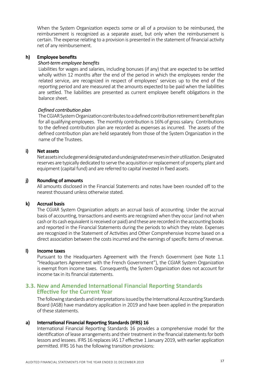When the System Organization expects some or all of a provision to be reimbursed, the reimbursement is recognized as a separate asset, but only when the reimbursement is certain. The expense relating to a provision is presented in the statement of financial activity net of any reimbursement.

#### **h) Employee benefits**

#### *Short-term employee benefits*

Liabilities for wages and salaries, including bonuses (if any) that are expected to be settled wholly within 12 months after the end of the period in which the employees render the related service, are recognized in respect of employees' services up to the end of the reporting period and are measured at the amounts expected to be paid when the liabilities are settled. The liabilities are presented as current employee benefit obligations in the balance sheet.

#### *Defined contribution plan*

The CGIAR System Organization contributes to a defined contribution retirement benefit plan for all qualifying employees. The monthly contribution is 16% of gross salary. Contributions to the defined contribution plan are recorded as expenses as incurred. The assets of the defined contribution plan are held separately from those of the System Organization in the name of the Trustees.

#### **i) Net assets**

Net assets include general designated and undesignated reserves in their utilization. Designated reserves are typically dedicated to serve the acquisition or replacement of property, plant and equipment (capital fund) and are referred to capital invested in fixed assets.

#### **j) Rounding of amounts**

All amounts disclosed in the Financial Statements and notes have been rounded off to the nearest thousand unless otherwise stated.

#### **k) Accrual basis**

The CGIAR System Organization adopts an accrual basis of accounting. Under the accrual basis of accounting, transactions and events are recognized when they occur (and not when cash or its cash equivalent is received or paid) and these are recorded in the accounting books and reported in the Financial Statements during the periods to which they relate. Expenses are recognized in the Statement of Activities and Other Comprehensive Income based on a direct association between the costs incurred and the earnings of specific items of revenue.

#### **l) Income taxes**

Pursuant to the Headquarters Agreement with the French Government (see Note 1.1 "Headquarters Agreement with the French Government"), the CGIAR System Organization is exempt from income taxes. Consequently, the System Organization does not account for income tax in its financial statements.

#### **3.3. New and Amended International Financial Reporting Standards Effective for the Current Year**

The following standards and interpretations issued by the International Accounting Standards Board (IASB) have mandatory application in 2019 and have been applied in the preparation of these statements.

#### **a) International Financial Reporting Standards (IFRS) 16**

International Financial Reporting Standards 16 provides a comprehensive model for the identification of lease arrangements and their treatment in the financial statements for both lessors and lessees. IFRS 16 replaces IAS 17 effective 1 January 2019, with earlier application permitted. IFRS 16 has the following transition provisions: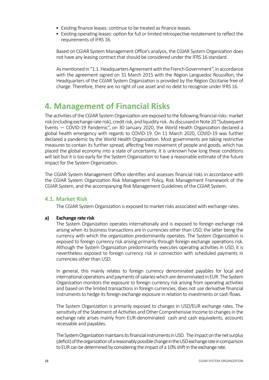- Existing finance leases: continue to be treated as finance leases.
- Existing operating leases: option for full or limited retrospective restatement to reflect the requirements of IFRS 16.

Based on CGIAR System Management Office's analysis, the CGIAR System Organization does not have any leasing contract that should be considered under the IFRS 16 standard.

As mentioned in "1.1. Headquarters Agreement with the French Government", in accordance with the agreement signed on 31 March 2015 with the Région Languedoc Roussillon, the Headquarters of the CGIAR System Organization is provided by the Région Occitanie free of charge. Therefore, there are no right of use asset and no debt to recognize under IFRS 16.

### **4. Management of Financial Risks**

The activities of the CGIAR System Organization are exposed to the following financial risks: market risk (including exchange rate risk), credit risk, and liquidity risk. As discussed in Note 20 "Subsequent Events — COVID-19 Pandemic", on 30 January 2020, the World Health Organization declared a global health emergency with regards to COVID-19. On 11 March 2020, COVID-19 was further declared a pandemic by the World Health Organization. Most governments are taking restrictive measures to contain its further spread, affecting free movement of people and goods, which has placed the global economy into a state of uncertainty. It is unknown how long these conditions will last but it is too early for the System Organization to have a reasonable estimate of the future impact for the System Organization.

The CGIAR System Management Office identifies and assesses financial risks in accordance with the CGIAR System Organization Risk Management Policy, Risk Management Framework of the CGIAR System, and the accompanying Risk Management Guidelines of the CGIAR System.

#### **4.1. Market Risk**

The CGIAR System Organization is exposed to market risks associated with exchange rates.

#### **a) Exchange rate risk**

The System Organization operates internationally and is exposed to foreign exchange risk arising when its business transactions are in currencies other than USD, the latter being the currency with which the organization predominantly operates. The System Organization is exposed to foreign currency risk arising primarily through foreign exchange operations risk. Although the System Organization predominantly executes operating activities in USD, it is nevertheless exposed to foreign currency risk in connection with scheduled payments in currencies other than USD.

In general, this mainly relates to foreign currency denominated payables for local and international operations and payments of salaries which are denominated in EUR. The System Organization monitors the exposure to foreign currency risk arising from operating activities and based on the limited transactions in foreign currencies, does not use derivative financial instruments to hedge its foreign exchange exposure in relation to investments or cash flows.

The System Organization is primarily exposed to changes in USD/EUR exchange rates. The sensitivity of the Statement of Activities and Other Comprehensive Income to changes in the exchange rate arises mainly from EUR-denominated cash and cash equivalents, accounts receivable and payables.

The System Organization maintains its financial instruments in USD. The impact on the net surplus (deficit) of the organization of a reasonably possible change in the USD exchange rate in comparison to EUR can be determined by considering the impact of a 10% shift in the exchange rate.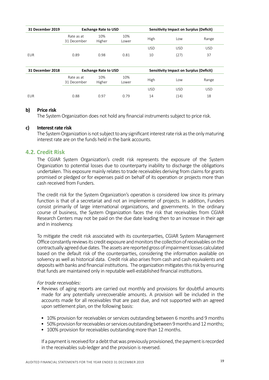| 31 December 2019 | <b>Exchange Rate to USD</b> |               |              |      | <b>Sensitivity Impact on Surplus (Deficit)</b> |       |  |
|------------------|-----------------------------|---------------|--------------|------|------------------------------------------------|-------|--|
|                  | Rate as at<br>31 December   | 10%<br>Higher | 10%<br>Lower | High | Low                                            | Range |  |
|                  |                             |               |              | USD  | <b>USD</b>                                     | USD   |  |
| EUR              | 0.89                        | 0.98          | 0.81         | 10   | (27)                                           | 37    |  |

| 31 December 2018 | <b>Exchange Rate to USD</b> |               |              |      | <b>Sensitivity Impact on Surplus (Deficit)</b> |            |
|------------------|-----------------------------|---------------|--------------|------|------------------------------------------------|------------|
|                  | Rate as at<br>31 December   | 10%<br>Higher | 10%<br>Lower | High | Low                                            | Range      |
|                  |                             |               |              | USD  | USD                                            | <b>USD</b> |
| EUR              | 0.88                        | 0.97          | 0.79         | 14   | (14)                                           | 18         |

#### **b) Price risk**

The System Organization does not hold any financial instruments subject to price risk.

#### **c) Interest rate risk**

The System Organization is not subject to any significant interest rate risk as the only maturing interest rate are on the funds held in the bank accounts.

#### **4.2. Credit Risk**

The CGIAR System Organization's credit risk represents the exposure of the System Organization to potential losses due to counterparty inability to discharge the obligations undertaken. This exposure mainly relates to trade receivables deriving from claims for grants promised or pledged or for expenses paid on behalf of its operation or projects more than cash received from Funders.

The credit risk for the System Organization's operation is considered low since its primary function is that of a secretariat and not an implementer of projects. In addition, Funders consist primarily of large international organizations, and governments. In the ordinary course of business, the System Organization faces the risk that receivables from CGIAR Research Centers may not be paid on the due date leading then to an increase in their age and in insolvency.

To mitigate the credit risk associated with its counterparties, CGIAR System Management Office constantly reviews its credit exposure and monitors the collection of receivables on the contractually agreed due dates. The assets are reported gross of impairment losses calculated based on the default risk of the counterparties, considering the information available on solvency as well as historical data. Credit risk also arises from cash and cash equivalents and deposits with banks and financial institutions. The organization mitigates this risk by ensuring that funds are maintained only in reputable well-established financial institutions.

#### *For trade receivables:*

- Reviews of aging reports are carried out monthly and provisions for doubtful amounts made for any potentially unrecoverable amounts. A provision will be included in the accounts made for all receivables that are past due, and not supported with an agreed upon settlement plan, on the following basis:
	- 10% provision for receivables or services outstanding between 6 months and 9 months
	- 50% provision for receivables or services outstanding between 9 months and 12 months;
	- 100% provision for receivables outstanding more than 12 months.

If a payment is received for a debt that was previously provisioned, the payment is recorded in the receivables sub-ledger and the provision is reversed.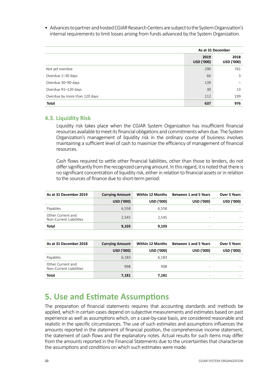• Advances to partner and hosted CGIAR Research Centers are subject to the System Organization's internal requirements to limit losses arising from funds advanced by the System Organization.

|                               |                    | As at 31 December  |
|-------------------------------|--------------------|--------------------|
|                               | 2019<br>USD ('000) | 2018<br>USD ('000) |
| Not yet overdue               | 290                | 761                |
| Overdue 1-30 days             | 66                 | 3                  |
| Overdue 30-90 days            | 139                |                    |
| Overdue 91-120 days           | 30                 | 13                 |
| Overdue by more than 120 days | 112                | 199                |
| <b>Total</b>                  | 637                | 976                |

#### **4.3. Liquidity Risk**

Liquidity risk takes place when the CGIAR System Organization has insufficient financial resources available to meet its financial obligations and commitments when due. The System Organization's management of liquidity risk in the ordinary course of business involves maintaining a sufficient level of cash to maximize the efficiency of management of financial resources.

Cash flows required to settle other financial liabilities, other than those to lenders, do not differ significantly from the recognized carrying amount. In this regard, it is noted that there is no significant concentration of liquidity risk, either in relation to financial assets or in relation to the sources of finance due to short-term period:

| As at 31 December 2019                       | <b>Carrying Amount</b> | <b>Within 12 Months</b> | <b>Between 1 and 5 Years</b> | Over 5 Years      |
|----------------------------------------------|------------------------|-------------------------|------------------------------|-------------------|
|                                              | <b>USD ('000)</b>      | <b>USD ('000)</b>       | <b>USD ('000)</b>            | <b>USD ('000)</b> |
| Payables                                     | 6,558                  | 6.558                   |                              |                   |
| Other Current and<br>Non-Current Liabilities | 2,545                  | 2,545                   | -                            |                   |
| <b>Total</b>                                 | 9,103                  | 9,103                   |                              |                   |

| As at 31 December 2018                       | <b>Carrying Amount</b> | <b>Within 12 Months</b> | <b>Between 1 and 5 Years</b> | Over 5 Years      |
|----------------------------------------------|------------------------|-------------------------|------------------------------|-------------------|
|                                              | <b>USD ('000)</b>      | USD ('000)              | <b>USD ('000)</b>            | <b>USD ('000)</b> |
| Payables                                     | 6,183                  | 6.183                   |                              |                   |
| Other Current and<br>Non-Current Liabilities | 998                    | 998                     |                              |                   |
| <b>Total</b>                                 | 7,181                  | 7,181                   | -                            |                   |

### **5. Use and Estimate Assumptions**

The preparation of financial statements requires that accounting standards and methods be applied, which in certain cases depend on subjective measurements and estimates based on past experience as well as assumptions which, on a case-by-case basis, are considered reasonable and realistic in the specific circumstances. The use of such estimates and assumptions influences the amounts reported in the statement of financial position, the comprehensive income statement, the statement of cash flows and the explanatory notes. Actual results for such items may differ from the amounts reported in the Financial Statements due to the uncertainties that characterize the assumptions and conditions on which such estimates were made.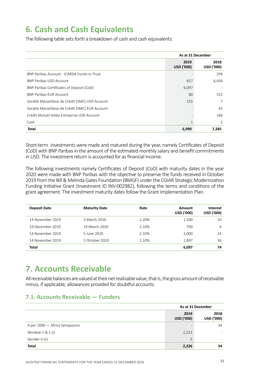# **6. Cash and Cash Equivalents**

The following table sets forth a breakdown of cash and cash equivalents:

|                                                  | As at 31 December         |                           |
|--------------------------------------------------|---------------------------|---------------------------|
|                                                  | 2019<br><b>USD ('000)</b> | 2018<br><b>USD ('000)</b> |
| BNP Paribas Account - ICARDA Funds-in-Trust      |                           | 294                       |
| <b>BNP Paribas USD Account</b>                   | 657                       | 6,456                     |
| BNP Paribas Certificates of Deposit (CoD)        | 6,097                     |                           |
| <b>BNP Paribas EUR Account</b>                   | 80                        | 315                       |
| Société Marseillaise de Crédit (SMC) USD Account | 155                       | $\overline{7}$            |
| Société Marseillaise de Crédit (SMC) EUR Account |                           | 42                        |
| Crédit Mutuel Arkéa Entreprise USD Account       |                           | 166                       |
| Cash                                             |                           | 5                         |
| <b>Total</b>                                     | 6,990                     | 7,285                     |

Short-term investments were made and matured during the year, namely Certificates of Deposit (CoD) with BNP Paribas in the amount of the estimated monthly salary and benefit commitments in USD. The investment return is accounted for as financial income.

The following investments namely Certificates of Deposit (CoD) with maturity dates in the year 2020 were made with BNP Paribas with the objective to preserve the funds received in October 2019 from the Bill & Melinda Gates Foundation (BMGF) under the CGIAR Strategic Modernization Funding Initiative Grant (Investment ID INV-002982), following the terms and conditions of the grant agreement. The investment maturity dates follow the Grant Implementation Plan.

| <b>Deposit Date</b> | <b>Maturity Date</b> | Rate  | Amount<br><b>USD ('000)</b> | <b>Interest</b><br><b>USD ('000)</b> |
|---------------------|----------------------|-------|-----------------------------|--------------------------------------|
| 14 November 2019    | 5 March 2020         | 2.20% | 1,500                       | 10                                   |
| 19 December 2019    | 19 March 2020        | 2.10% | 700                         | 4                                    |
| 14 November 2019    | 5 June 2020          | 2.10% | 2,000                       | 24                                   |
| 14 November 2019    | 5 October 2020       | 2.10% | 1,897                       | 36                                   |
| Total               |                      |       | 6,097                       | 74                                   |

### **7. Accounts Receivable**

All receivable balances are valued at their net realizable value, that is, the gross amount of receivable minus, if applicable, allowances provided for doubtful accounts.

#### **7.1. Accounts Receivable — Funders**

|                               | As at 31 December        |                    |
|-------------------------------|--------------------------|--------------------|
|                               | 2019<br>USD ('000)       | 2018<br>USD ('000) |
| 4 per 1000 - Africa Symposium | $\overline{\phantom{0}}$ | 34                 |
| Window $1 & 2 (i)$            | 2,221                    |                    |
| Gender II (ii)                | 5                        | ۰                  |
| <b>Total</b>                  | 2,226                    | 34                 |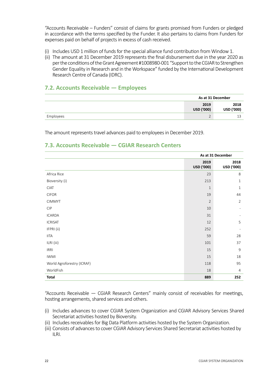"Accounts Receivable – Funders" consist of claims for grants promised from Funders or pledged in accordance with the terms specified by the Funder. It also pertains to claims from Funders for expenses paid on behalf of projects in excess of cash received.

- (i) Includes USD 1 million of funds for the special alliance fund contribution from Window 1.
- (ii) The amount at 31 December 2019 represents the final disbursement due in the year 2020 as per the conditions of the Grant Agreement #1008980-001 "Support to the CGIAR to Strengthen Gender Equality in Research and in the Workspace" funded by the International Development Research Centre of Canada (IDRC).

#### **7.2. Accounts Receivable — Employees**

|           | As at 31 December        |                    |
|-----------|--------------------------|--------------------|
|           | 2019<br>USD ('000)       | 2018<br>USD ('000) |
| Employees | $\overline{\phantom{0}}$ |                    |

The amount represents travel advances paid to employees in December 2019.

#### **7.3. Accounts Receivable — CGIAR Research Centers**

|                            | As at 31 December  |                          |
|----------------------------|--------------------|--------------------------|
|                            | 2019<br>USD ('000) | 2018<br>USD ('000)       |
| Africa Rice                | 23                 | 8                        |
| Bioversity (i)             | 213                | $\mathbf{1}$             |
| <b>CIAT</b>                | $\mathbf{1}$       | $\mathbf{1}$             |
| <b>CIFOR</b>               | 19                 | 44                       |
| <b>CIMMYT</b>              | $\overline{2}$     | 2                        |
| CIP                        | 10                 | $\overline{\phantom{0}}$ |
| ICARDA                     | 31                 |                          |
| <b>ICRISAT</b>             | 12                 | 5                        |
| IFPRI (ii)                 | 252                |                          |
| <b>IITA</b>                | 59                 | 28                       |
| ILRI (iii)                 | 101                | 37                       |
| <b>IRRI</b>                | 15                 | 9                        |
| <b>IWMI</b>                | 15                 | 18                       |
| World Agroforestry (ICRAF) | 118                | 95                       |
| WorldFish                  | 18                 | $\overline{4}$           |
| <b>Total</b>               | 889                | 252                      |

"Accounts Receivable — CGIAR Research Centers" mainly consist of receivables for meetings, hosting arrangements, shared services and others.

- (i) Includes advances to cover CGIAR System Organization and CGIAR Advisory Services Shared Secretariat activities hosted by Bioversity.
- (ii) Includes receivables for Big Data Platform activities hosted by the System Organization.
- (iii) Consists of advances to cover CGIAR Advisory Services Shared Secretariat activities hosted by ILRI.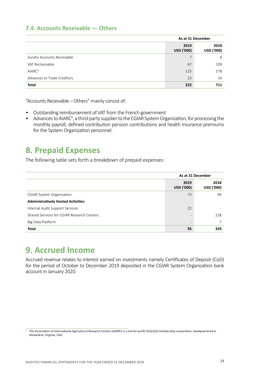#### **7.4. Accounts Receivable — Others**

|                             | As at 31 December  |                    |  |
|-----------------------------|--------------------|--------------------|--|
|                             | 2019<br>USD ('000) | 2018<br>USD ('000) |  |
| Sundry Accounts Receivable  | 7                  | 8                  |  |
| VAT Reclaimable             | 67                 | 109                |  |
| AIARC <sup>9</sup>          | 125                | 578                |  |
| Advances to Trade Creditors | 23                 | 16                 |  |
| <b>Total</b>                | 222                | 711                |  |

"Accounts Receivable – Others" mainly consist of:

- Outstanding reimbursement of VAT from the French government
- Advances to AIARC<sup>9</sup>, a third-party supplier to the CGIAR System Organization, for processing the monthly payroll, defined contribution pension contributions and health insurance premiums for the System Organization personnel.

### **8. Prepaid Expenses**

The following table sets forth a breakdown of prepaid expenses:

|                                            | As at 31 December         |                           |
|--------------------------------------------|---------------------------|---------------------------|
|                                            | 2019<br><b>USD ('000)</b> | 2018<br><b>USD ('000)</b> |
| <b>CGIAR System Organization</b>           | 73                        | 94                        |
| <b>Administratively Hosted Activities</b>  |                           |                           |
| Internal Audit Support Services            | 22                        |                           |
| Shared Services for CGIAR Research Centers | $\overline{\phantom{a}}$  | 228                       |
| Big Data Platform                          | $\qquad \qquad$           |                           |
| <b>Total</b>                               | 95                        | 329                       |

# **9. Accrued Income**

Accrued revenue relates to interest earned on investments namely Certificates of Deposit (CoD) for the period of October to December 2019 deposited in the CGIAR System Organization bank account in January 2020.

<sup>9</sup> The Association of International Agricultural Research Centers (AIARC) is a not-for-profit 501(c)(3) membership corporation, headquartered in Alexandria, Virginia, USA.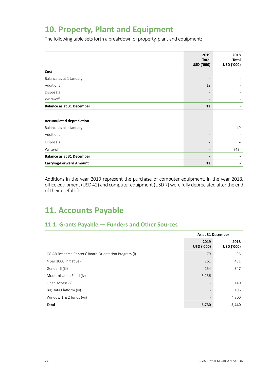# **10. Property, Plant and Equipment**

The following table sets forth a breakdown of property, plant and equipment:

|                                  | 2019<br><b>Total</b><br>USD ('000) | 2018<br><b>Total</b><br>USD ('000) |
|----------------------------------|------------------------------------|------------------------------------|
| Cost                             |                                    |                                    |
| Balance as at 1 January          |                                    |                                    |
| Additions                        | 12                                 |                                    |
| Disposals                        |                                    |                                    |
| Write-off                        | $\overline{\phantom{a}}$           |                                    |
| <b>Balance as at 31 December</b> | 12                                 |                                    |
|                                  |                                    |                                    |
| <b>Accumulated depreciation</b>  |                                    |                                    |
| Balance as at 1 January          |                                    | 49                                 |
| Additions                        |                                    |                                    |
| Disposals                        | $\qquad \qquad -$                  |                                    |
| Write-off                        | $\overline{\phantom{0}}$           | (49)                               |
| <b>Balance as at 31 December</b> | $\overline{\phantom{a}}$           |                                    |
| <b>Carrying-Forward Amount</b>   | 12                                 |                                    |

Additions in the year 2019 represent the purchase of computer equipment. In the year 2018, office equipment (USD 42) and computer equipment (USD 7) were fully depreciated after the end of their useful life.

# **11. Accounts Payable**

#### **11.1. Grants Payable — Funders and Other Sources**

|                                                       | As at 31 December         |                           |  |
|-------------------------------------------------------|---------------------------|---------------------------|--|
|                                                       | 2019<br><b>USD ('000)</b> | 2018<br><b>USD ('000)</b> |  |
| CGIAR Research Centers' Board Orientation Program (i) | 79                        | 96                        |  |
| 4 per 1000 Initiative (ii)                            | 261                       | 451                       |  |
| Gender II (iii)                                       | 154                       | 347                       |  |
| Modernization Fund (iv)                               | 5,236                     |                           |  |
| Open Access (v)                                       | $\overline{\phantom{0}}$  | 140                       |  |
| Big Data Platform (vi)                                | $\overline{\phantom{a}}$  | 106                       |  |
| Window 1 & 2 funds (vii)                              | $\overline{\phantom{a}}$  | 4,300                     |  |
| <b>Total</b>                                          | 5,730                     | 5,440                     |  |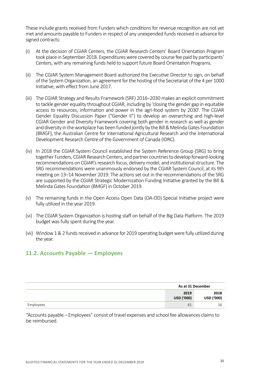These include grants received from Funders which conditions for revenue recognition are not yet met and amounts payable to Funders in respect of any unexpended funds received in advance for signed contracts:

- (i) At the decision of CGIAR Centers, the CGIAR Research Centers' Board Orientation Program took place in September 2018. Expenditures were covered by course fee paid by participants' Centers, with any remaining funds held to support future Board Orientation Programs.
- (ii) The CGIAR System Management Board authorized the Executive Director to sign, on behalf of the System Organization, an agreement for the hosting of the Secretariat of the 4 per 1000 Initiative, with effect from June 2017.
- (iii) The CGIAR Strategy and Results Framework (SRF) 2016–2030 makes an explicit commitment to tackle gender equality throughout CGIAR, including by 'closing the gender gap in equitable access to resources, information and power in the agri-food system by 2030'. The CGIAR Gender Equality Discussion Paper ("Gender II") to develop an overarching and high-level CGIAR Gender and Diversity Framework covering both gender in research as well as gender and diversity in the workplace has been funded jointly by the Bill & Melinda Gates Foundation (BMGF), the Australian Centre for International Agricultural Research and the International Development Research Centre of the Government of Canada (IDRC).
- (iv) In 2018 the CGIAR System Council established the System Reference Group (SRG) to bring together Funders, CGIAR Research Centers, and partner countries to develop forward-looking recommendations on CGIAR's research focus, delivery model, and institutional structure. The SRG recommendations were unanimously endorsed by the CGIAR System Council, at its 9th meeting on 13–14 November 2019. The actions set out in the recommendations of the SRG are supported by the CGIAR Strategic Modernization Funding Initiative granted by the Bill & Melinda Gates Foundation (BMGF) in October 2019.
- (v) The remaining funds in the Open Access Open Data (OA-OD) Special Initiative project were fully utilized in the year 2019.
- (vi) The CGIAR System Organization is hosting staff on behalf of the Big Data Platform. The 2019 budget was fully spent during the year.
- (vii) Window 1 & 2 funds received in advance for 2019 operating budget were fully utilized during the year.

#### **11.2. Accounts Payable — Employees**

|           | As at 31 December  |                    |
|-----------|--------------------|--------------------|
|           | 2019<br>USD ('000) | 2018<br>USD ('000) |
| Employees | 41                 | 16                 |

"Accounts payable – Employees" consist of travel expenses and school fee allowances claims to be reimbursed.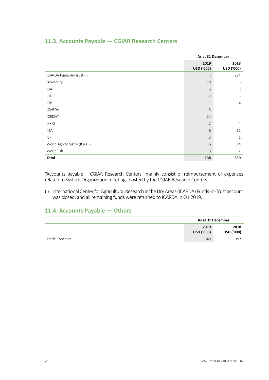|                            | As at 31 December  |                          |  |
|----------------------------|--------------------|--------------------------|--|
|                            | 2019<br>USD ('000) | 2018<br>USD ('000)       |  |
| ICARDA Funds-In-Trust (i)  |                    | 294                      |  |
| Bioversity                 | 29                 |                          |  |
| <b>CIAT</b>                | 5                  |                          |  |
| <b>CIFOR</b>               | $\overline{2}$     |                          |  |
| <b>CIP</b>                 |                    | $\overline{4}$           |  |
| <b>ICARDA</b>              | $\overline{3}$     | $\overline{\phantom{a}}$ |  |
| <b>ICRISAT</b>             | 24                 |                          |  |
| <b>IFPRI</b>               | 47                 | $\overline{4}$           |  |
| <b>IITA</b>                | 6                  | 11                       |  |
| <b>ILRI</b>                | 3                  | $\mathbf{1}$             |  |
| World Agroforestry (ICRAF) | 16                 | 14                       |  |
| WorldFish                  | 3                  | $\overline{2}$           |  |
| <b>Total</b>               | 138                | 330                      |  |

#### **11.3. Accounts Payable — CGIAR Research Centers**

"Accounts payable – CGIAR Research Centers" mainly consist of reimbursement of expenses related to System Organization meetings hosted by the CGIAR Research Centers.

(i) International Center for Agricultural Research in the Dry Areas (ICARDA) Funds-In-Trust account was closed, and all remaining funds were returned to ICARDA in Q1 2019.

#### **11.4. Accounts Payable — Others**

|                 |                           | As at 31 December  |  |  |
|-----------------|---------------------------|--------------------|--|--|
|                 | 2019<br><b>USD ('000)</b> | 2018<br>USD ('000) |  |  |
| Trade Creditors | 649                       | 397                |  |  |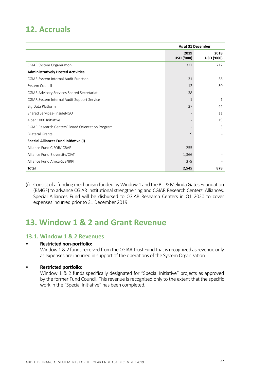# **12. Accruals**

|                                                   | As at 31 December  |                    |
|---------------------------------------------------|--------------------|--------------------|
|                                                   | 2019<br>USD ('000) | 2018<br>USD ('000) |
| <b>CGIAR System Organization</b>                  | 327                | 712                |
| <b>Administratively Hosted Activities</b>         |                    |                    |
| CGIAR System Internal Audit Function              | 31                 | 38                 |
| System Council                                    | 12                 | 50                 |
| CGIAR Advisory Services Shared Secretariat        | 138                |                    |
| CGIAR System Internal Audit Support Service       | 1                  | $\mathbf{1}$       |
| Big Data Platform                                 | 27                 | 44                 |
| Shared Services- InsideNGO                        |                    | 11                 |
| 4 per 1000 Initiative                             |                    | 19                 |
| CGIAR Research Centers' Board Orientation Program |                    | 3                  |
| <b>Bilateral Grants</b>                           | 9                  |                    |
| Special Alliances Fund Initiative (i)             |                    |                    |
| Alliance Fund CIFOR/ICRAF                         | 255                |                    |
| Alliance Fund Bioversity/CIAT                     | 1,366              |                    |
| Alliance Fund AfricaRice/IRRI                     | 379                |                    |
| <b>Total</b>                                      | 2,545              | 878                |

(i) Consist of a funding mechanism funded by Window 1 and the Bill & Melinda Gates Foundation (BMGF) to advance CGIAR institutional strengthening and CGIAR Research Centers' Alliances. Special Alliances Fund will be disbursed to CGIAR Research Centers in Q1 2020 to cover expenses incurred prior to 31 December 2019.

# **13. Window 1 & 2 and Grant Revenue**

#### **13.1. Window 1 & 2 Revenues**

#### • **Restricted non-portfolio:**

Window 1 & 2 funds received from the CGIAR Trust Fund that is recognized as revenue only as expenses are incurred in support of the operations of the System Organization.

#### • **Restricted portfolio:**

Window 1 & 2 funds specifically designated for "Special Initiative" projects as approved by the former Fund Council. This revenue is recognized only to the extent that the specific work in the "Special Initiative" has been completed.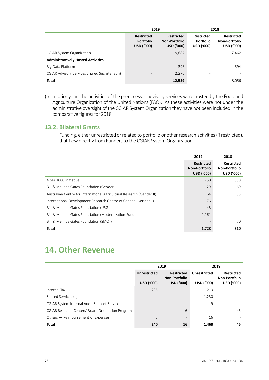|                                                |                                                            | 2019                                                    | 2018                                                       |                                                  |  |
|------------------------------------------------|------------------------------------------------------------|---------------------------------------------------------|------------------------------------------------------------|--------------------------------------------------|--|
|                                                | <b>Restricted</b><br><b>Portfolio</b><br><b>USD ('000)</b> | <b>Restricted</b><br>Non-Portfolio<br><b>USD ('000)</b> | <b>Restricted</b><br><b>Portfolio</b><br><b>USD ('000)</b> | <b>Restricted</b><br>Non-Portfolio<br>USD ('000) |  |
| <b>CGIAR System Organization</b>               |                                                            | 9,887                                                   |                                                            | 7,462                                            |  |
| <b>Administratively Hosted Activities</b>      |                                                            |                                                         |                                                            |                                                  |  |
| Big Data Platform                              |                                                            | 396                                                     |                                                            | 594                                              |  |
| CGIAR Advisory Services Shared Secretariat (i) |                                                            | 2,276                                                   | $\overline{\phantom{a}}$                                   |                                                  |  |
| <b>Total</b>                                   |                                                            | 12,559                                                  |                                                            | 8,056                                            |  |

(i) In prior years the activities of the predecessor advisory services were hosted by the Food and Agriculture Organization of the United Nations (FAO). As these activities were not under the administrative oversight of the CGIAR System Organization they have not been included in the comparative figures for 2018.

#### **13.2. Bilateral Grants**

Funding, either unrestricted or related to portfolio or other research activities (if restricted), that flow directly from Funders to the CGIAR System Organization.

|                                                                       | 2019                                                    | 2018                                             |
|-----------------------------------------------------------------------|---------------------------------------------------------|--------------------------------------------------|
|                                                                       | <b>Restricted</b><br>Non-Portfolio<br><b>USD ('000)</b> | <b>Restricted</b><br>Non-Portfolio<br>USD ('000) |
| 4 per 1000 Initiative                                                 | 250                                                     | 338                                              |
| Bill & Melinda Gates Foundation (Gender II)                           | 129                                                     | 69                                               |
| Australian Centre for International Agricultural Research (Gender II) | 64                                                      | 33                                               |
| International Development Research Centre of Canada (Gender II)       | 76                                                      |                                                  |
| Bill & Melinda Gates Foundation (USG)                                 | 48                                                      |                                                  |
| Bill & Melinda Gates Foundation (Modernization Fund)                  | 1,161                                                   |                                                  |
| Bill & Melinda Gates Foundation (SIAC I)                              |                                                         | 70                                               |
| <b>Total</b>                                                          | 1,728                                                   | 510                                              |

### **14. Other Revenue**

|                                                   |                                          | 2019                                                    | 2018                                     |                                                         |  |
|---------------------------------------------------|------------------------------------------|---------------------------------------------------------|------------------------------------------|---------------------------------------------------------|--|
|                                                   | <b>Unrestricted</b><br><b>USD ('000)</b> | <b>Restricted</b><br>Non-Portfolio<br><b>USD ('000)</b> | <b>Unrestricted</b><br><b>USD ('000)</b> | <b>Restricted</b><br>Non-Portfolio<br><b>USD ('000)</b> |  |
| Internal Tax (i)                                  | 235                                      | $\overline{\phantom{0}}$                                | 213                                      |                                                         |  |
| Shared Services (ii)                              | $\overline{\phantom{a}}$                 | $\overline{\phantom{a}}$                                | 1,230                                    |                                                         |  |
| CGIAR System Internal Audit Support Service       | $\overline{\phantom{0}}$                 | $\overline{\phantom{a}}$                                | 9                                        |                                                         |  |
| CGIAR Research Centers' Board Orientation Program | ۰                                        | 16                                                      | $\overline{\phantom{0}}$                 | 45                                                      |  |
| Others - Reimbursement of Expenses                | 5                                        | $\overline{\phantom{a}}$                                | 16                                       |                                                         |  |
| <b>Total</b>                                      | 240                                      | 16                                                      | 1,468                                    | 45                                                      |  |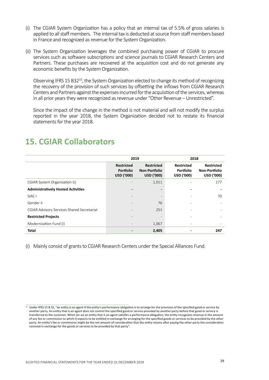- (i) The CGIAR System Organization has a policy that an internal tax of 5.5% of gross salaries is applied to all staff members. The internal tax is deducted at source from staff members based in France and recognized as revenue for the System Organization.
- (ii) The System Organization leverages the combined purchasing power of CGIAR to procure services such as software subscriptions and science journals to CGIAR Research Centers and Partners. These purchases are recovered at the acquisition cost and do not generate any economic benefits by the System Organization.

Observing IFRS 15 B32<sup>10</sup>, the System Organization elected to change its method of recognizing the recovery of the provision of such services by offsetting the inflows from CGIAR Research Centers and Partners against the expenses incurred for the acquisition of the services, whereas in all prior years they were recognized as revenue under "Other Revenue – Unrestricted".

Since the impact of the change in the method is not material and will not modify the surplus reported in the year 2018, the System Organization decided not to restate its financial statements for the year 2018.

|                                                   | 2019                                                       |                                                         | 2018                                                       |                                                         |  |
|---------------------------------------------------|------------------------------------------------------------|---------------------------------------------------------|------------------------------------------------------------|---------------------------------------------------------|--|
|                                                   | <b>Restricted</b><br><b>Portfolio</b><br><b>USD ('000)</b> | <b>Restricted</b><br>Non-Portfolio<br><b>USD ('000)</b> | <b>Restricted</b><br><b>Portfolio</b><br><b>USD ('000)</b> | <b>Restricted</b><br>Non-Portfolio<br><b>USD ('000)</b> |  |
| CGIAR System Organization (i)                     |                                                            | 1,011                                                   |                                                            | 177                                                     |  |
| <b>Administratively Hosted Activities</b>         |                                                            |                                                         |                                                            |                                                         |  |
| SIAC I                                            |                                                            |                                                         |                                                            | 70                                                      |  |
| Gender II                                         |                                                            | 76                                                      |                                                            |                                                         |  |
| <b>CGIAR Advisory Services Shared Secretariat</b> |                                                            | 251                                                     |                                                            |                                                         |  |
| <b>Restricted Projects</b>                        |                                                            |                                                         |                                                            |                                                         |  |
| Modernization Fund (i)                            |                                                            | 1,067                                                   |                                                            |                                                         |  |
| <b>Total</b>                                      |                                                            | 2,405                                                   |                                                            | 247                                                     |  |

# **15. CGIAR Collaborators**

(i) Mainly consist of grants to CGIAR Research Centers under the Special Alliances Fund.

<sup>&</sup>lt;sup>10</sup> Under IFRS 15 B 32, "an entity is an agent if the entity's performance obligation is to arrange for the provision of the specified good or service by another party. An entity that is an agent does not control the specified good or service provided by another party before that good or service is transferred to the customer. When (or as) an entity that is an agent satisfies a performance obligation, the entity recognizes revenue in the amount of any fee or commission to which it expects to be entitled in exchange for arranging for the specified goods or services to be provided by the other party. An entity's fee or commission might be the net amount of consideration that the entity retains after paying the other party the consideration received in exchange for the goods or services to be provided by that party".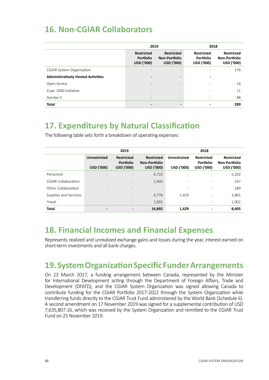# **16. Non-CGIAR Collaborators**

|                                           | 2019                                                |                                                  | 2018                                                |                                                  |  |
|-------------------------------------------|-----------------------------------------------------|--------------------------------------------------|-----------------------------------------------------|--------------------------------------------------|--|
|                                           | <b>Restricted</b><br>Portfolio<br><b>USD ('000)</b> | <b>Restricted</b><br>Non-Portfolio<br>USD ('000) | <b>Restricted</b><br>Portfolio<br><b>USD ('000)</b> | <b>Restricted</b><br>Non-Portfolio<br>USD ('000) |  |
| <b>CGIAR System Organization</b>          |                                                     | $\overline{\phantom{0}}$                         | ٠                                                   | 176                                              |  |
| <b>Administratively Hosted Activities</b> |                                                     |                                                  | ٠                                                   |                                                  |  |
| Open Access                               |                                                     | $\overline{\phantom{0}}$                         | ٠                                                   | 14                                               |  |
| 4 per 1000 Initiative                     | $\overline{\phantom{0}}$                            | $\overline{\phantom{0}}$                         | $\overline{\phantom{a}}$                            | 11                                               |  |
| Gender II                                 | $\qquad \qquad$                                     | $\overline{\phantom{a}}$                         | $\overline{\phantom{a}}$                            | 88                                               |  |
| <b>Total</b>                              |                                                     |                                                  |                                                     | 289                                              |  |

# **17. Expenditures by Natural Classification**

The following table sets forth a breakdown of operating expenses:

|                            |                                   | 2019                                                |                                                         | 2018                                     |                                                     |                                                  |
|----------------------------|-----------------------------------|-----------------------------------------------------|---------------------------------------------------------|------------------------------------------|-----------------------------------------------------|--------------------------------------------------|
|                            | <b>Unrestricted</b><br>USD ('000) | <b>Restricted</b><br><b>Portfolio</b><br>USD ('000) | <b>Restricted</b><br>Non-Portfolio<br><b>USD ('000)</b> | <b>Unrestricted</b><br><b>USD ('000)</b> | <b>Restricted</b><br>Portfolio<br><b>USD ('000)</b> | <b>Restricted</b><br>Non-Portfolio<br>USD ('000) |
| Personnel                  | $\overline{\phantom{0}}$          | $\overline{\phantom{0}}$                            | 6,710                                                   |                                          |                                                     | 5,202                                            |
| <b>CGIAR Collaboration</b> | $\overline{\phantom{0}}$          | $\overline{\phantom{a}}$                            | 2,405                                                   | ٠                                        | $\overline{\phantom{0}}$                            | 247                                              |
| Other Collaboration        | $\overline{\phantom{0}}$          | $\overline{\phantom{a}}$                            | $\overline{\phantom{a}}$                                | $\overline{\phantom{a}}$                 | $\overline{\phantom{0}}$                            | 289                                              |
| Supplies and Services      | $\qquad \qquad$                   | $\overline{\phantom{a}}$                            | 4,776                                                   | 1,429                                    | ٠                                                   | 1,865                                            |
| Travel                     | $\qquad \qquad$                   | $\overline{\phantom{a}}$                            | 1,001                                                   |                                          |                                                     | 1,002                                            |
| <b>Total</b>               | -                                 | $\overline{\phantom{0}}$                            | 14,892                                                  | 1,429                                    |                                                     | 8,605                                            |

### **18. Financial Incomes and Financial Expenses**

Represents realized and unrealized exchange gains and losses during the year, interest earned on short-term investments and all bank charges.

# **19. System Organization Specific Funder Arrangements**

On 23 March 2017, a funding arrangement between Canada, represented by the Minister for International Development acting through the Department of Foreign Affairs, Trade and Development (DFATD), and the CGIAR System Organization was signed allowing Canada to contribute funding for the CGIAR Portfolio 2017-2022 through the System Organization while transferring funds directly to the CGIAR Trust Fund administered by the World Bank (Schedule II). A second amendment on 17 November 2019 was signed for a supplemental contribution of USD 7,635,807.16, which was received by the System Organization and remitted to the CGIAR Trust Fund on 25 November 2019.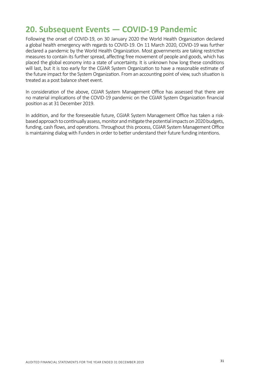# **20. Subsequent Events — COVID-19 Pandemic**

Following the onset of COVID-19, on 30 January 2020 the World Health Organization declared a global health emergency with regards to COVID-19. On 11 March 2020, COVID-19 was further declared a pandemic by the World Health Organization. Most governments are taking restrictive measures to contain its further spread, affecting free movement of people and goods, which has placed the global economy into a state of uncertainty. It is unknown how long these conditions will last, but it is too early for the CGIAR System Organization to have a reasonable estimate of the future impact for the System Organization. From an accounting point of view, such situation is treated as a post balance sheet event.

In consideration of the above, CGIAR System Management Office has assessed that there are no material implications of the COVID-19 pandemic on the CGIAR System Organization financial position as at 31 December 2019.

In addition, and for the foreseeable future, CGIAR System Management Office has taken a riskbased approach to continually assess, monitor and mitigate the potential impacts on 2020 budgets, funding, cash flows, and operations. Throughout this process, CGIAR System Management Office is maintaining dialog with Funders in order to better understand their future funding intentions.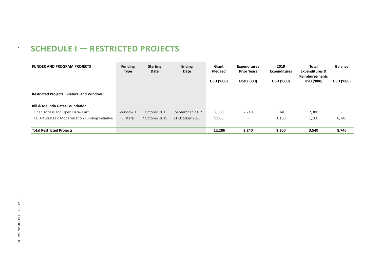#### 32 **SCHEDULE I — RESTRICTED PROJECTS**

| <b>FUNDER AND PROGRAM PROJECTS</b>                 | <b>Funding</b><br><b>Type</b> | <b>Starting</b><br>Date | <b>Ending</b><br>Date | Grant<br>Pledged  | <b>Expenditures</b><br><b>Prior Years</b> | 2019<br><b>Expenditures</b> | Total<br><b>Expenditures &amp;</b><br><b>Reimbursements</b> | <b>Balance</b> |
|----------------------------------------------------|-------------------------------|-------------------------|-----------------------|-------------------|-------------------------------------------|-----------------------------|-------------------------------------------------------------|----------------|
|                                                    |                               |                         |                       | <b>USD ('000)</b> | <b>USD ('000)</b>                         | <b>USD ('000)</b>           | <b>USD ('000)</b>                                           | USD ('000)     |
| <b>Restricted Projects: Bilateral and Window 1</b> |                               |                         |                       |                   |                                           |                             |                                                             |                |
| <b>Bill &amp; Melinda Gates Foundation</b>         |                               |                         |                       |                   |                                           |                             |                                                             |                |
| Open Access and Open Data-Part 1                   | Window 1                      | 1 October 2015          | 1 September 2017      | 2,380             | 2,240                                     | 140                         | 2,380                                                       |                |
| CGIAR Strategic Modernization Funding Initiative   | Bilateral                     | 7 October 2019          | 31 October 2021       | 9,906             | $\overline{\phantom{0}}$                  | 1,160                       | 1,160                                                       | 8,746          |
|                                                    |                               |                         |                       |                   |                                           |                             |                                                             |                |
| <b>Total Restricted Projects</b>                   |                               |                         |                       | 12,286            | 2,240                                     | 1,300                       | 3,540                                                       | 8,746          |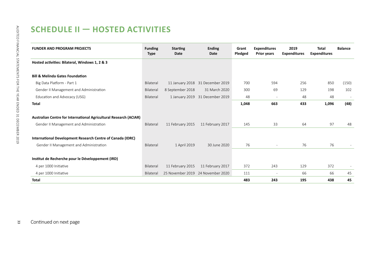# **SCHEDULE II — HOSTED ACTIVITIES**

| <b>FUNDER AND PROGRAM PROJECTS</b>                                | <b>Funding</b><br><b>Type</b> | <b>Starting</b><br><b>Date</b> | <b>Ending</b><br>Date             | Grant<br>Pledged | <b>Expenditures</b><br><b>Prior years</b> | 2019<br><b>Expenditures</b> | <b>Total</b><br><b>Expenditures</b> | <b>Balance</b> |
|-------------------------------------------------------------------|-------------------------------|--------------------------------|-----------------------------------|------------------|-------------------------------------------|-----------------------------|-------------------------------------|----------------|
| Hosted activities: Bilateral, Windows 1, 2 & 3                    |                               |                                |                                   |                  |                                           |                             |                                     |                |
| <b>Bill &amp; Melinda Gates Foundation</b>                        |                               |                                |                                   |                  |                                           |                             |                                     |                |
| Big Data Platform - Part 1                                        | Bilateral                     |                                | 11 January 2018 31 December 2019  | 700              | 594                                       | 256                         | 850                                 | (150)          |
| Gender II Management and Administration                           | Bilateral                     | 8 September 2018               | 31 March 2020                     | 300              | 69                                        | 129                         | 198                                 | 102            |
| Education and Advocacy (USG)                                      | Bilateral                     |                                | 1 January 2019 31 December 2019   | 48               | $\overline{\phantom{a}}$                  | 48                          | 48                                  |                |
| Total                                                             |                               |                                |                                   | 1,048            | 663                                       | 433                         | 1,096                               | (48)           |
| Australian Centre for International Agricultural Research (ACIAR) |                               |                                |                                   |                  |                                           |                             |                                     |                |
| Gender II Management and Administration                           | Bilateral                     | 11 February 2015               | 11 February 2017                  | 145              | 33                                        | 64                          | 97                                  | 48             |
| International Development Research Centre of Canada (IDRC)        |                               |                                |                                   |                  |                                           |                             |                                     |                |
| Gender II Management and Administration                           | Bilateral                     | 1 April 2019                   | 30 June 2020                      | 76               | $\overline{\phantom{a}}$                  | 76                          | 76                                  |                |
| Institut de Recherche pour le Développement (IRD)                 |                               |                                |                                   |                  |                                           |                             |                                     |                |
| 4 per 1000 Initiative                                             | Bilateral                     | 11 February 2015               | 11 February 2017                  | 372              | 243                                       | 129                         | 372                                 |                |
| 4 per 1000 Initiative                                             | Bilateral                     |                                | 25 November 2019 24 November 2020 | 111              | $\overline{\phantom{a}}$                  | 66                          | 66                                  | 45             |
| Total                                                             |                               |                                |                                   | 483              | 243                                       | 195                         | 438                                 | 45             |

33 Continued on next page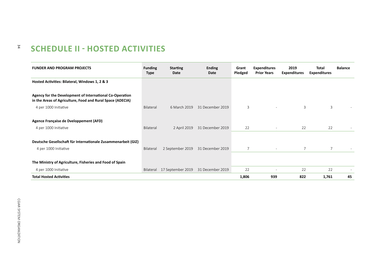#### $34$ **SCHEDULE II - HOSTED ACTIVITIES**

| <b>FUNDER AND PROGRAM PROJECTS</b>                                                                                     | <b>Funding</b><br><b>Type</b> | <b>Starting</b><br>Date | <b>Ending</b><br>Date | Grant<br>Pledged | <b>Expenditures</b><br><b>Prior Years</b> | 2019<br><b>Expenditures</b> | Total<br><b>Expenditures</b> | <b>Balance</b> |
|------------------------------------------------------------------------------------------------------------------------|-------------------------------|-------------------------|-----------------------|------------------|-------------------------------------------|-----------------------------|------------------------------|----------------|
| Hosted Activities: Bilateral, Windows 1, 2 & 3                                                                         |                               |                         |                       |                  |                                           |                             |                              |                |
| Agency for the Development of International Co-Operation<br>in the Areas of Agriculture, Food and Rural Space (ADECIA) |                               |                         |                       |                  |                                           |                             |                              |                |
| 4 per 1000 Initiative                                                                                                  | Bilateral                     | 6 March 2019            | 31 December 2019      | 3                | $\sim$                                    | 3                           | 3                            |                |
| Agence Française de Dveloppement (AFD)                                                                                 |                               |                         |                       |                  |                                           |                             |                              |                |
| 4 per 1000 Initiative                                                                                                  | Bilateral                     | 2 April 2019            | 31 December 2019      | 22               | $\overline{\phantom{a}}$                  | 22                          | 22                           |                |
| Deutsche Gesellschaft für Internationale Zusammenarbeit (GIZ)                                                          |                               |                         |                       |                  |                                           |                             |                              |                |
| 4 per 1000 Initiative                                                                                                  | Bilateral                     | 2 September 2019        | 31 December 2019      | $\overline{7}$   |                                           | $\overline{7}$              | $\overline{7}$               |                |
| The Ministry of Agriculture, Fisheries and Food of Spain                                                               |                               |                         |                       |                  |                                           |                             |                              |                |
| 4 per 1000 Initiative                                                                                                  | Bilateral                     | 17 September 2019       | 31 December 2019      | 22               |                                           | 22                          | 22                           |                |
| <b>Total Hosted Activities</b>                                                                                         |                               |                         |                       | 1,806            | 939                                       | 822                         | 1,761                        | 45             |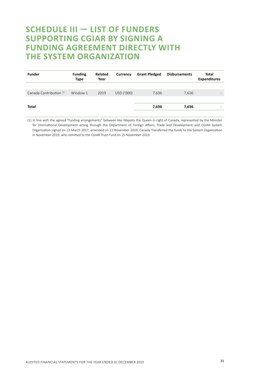### **SCHEDULE III — LIST OF FUNDERS SUPPORTING CGIAR BY SIGNING A FUNDING AGREEMENT DIRECTLY WITH THE SYSTEM ORGANIZATION**

| <b>Funder</b>                      | <b>Funding</b><br><b>Type</b> | Related<br>Year | Currency   | <b>Grant Pledged</b> | <b>Disbursements</b> | Total<br><b>Expenditures</b> |
|------------------------------------|-------------------------------|-----------------|------------|----------------------|----------------------|------------------------------|
|                                    |                               |                 |            |                      |                      |                              |
| Canada Contribution <sup>(1)</sup> | Window 1                      | 2019            | USD ('000) | 7,636                | 7,636                | $\overline{\phantom{a}}$     |
|                                    |                               |                 |            |                      |                      |                              |
| Total                              |                               |                 |            | 7,636                | 7,636                | -                            |
|                                    |                               |                 |            |                      |                      |                              |

(1) In line with the agreed "funding arrangements" between Her Majesty the Queen in right of Canada, represented by the Minister for International Development acting through the Department of Foreign Affairs, Trade and Development and CGIAR System Organization signed on 23 March 2017, amended on 17 November 2019, Canada Transferred the funds to the System Organization in November 2019, who remitted to the CGIAR Trust Fund on 25 November 2019.